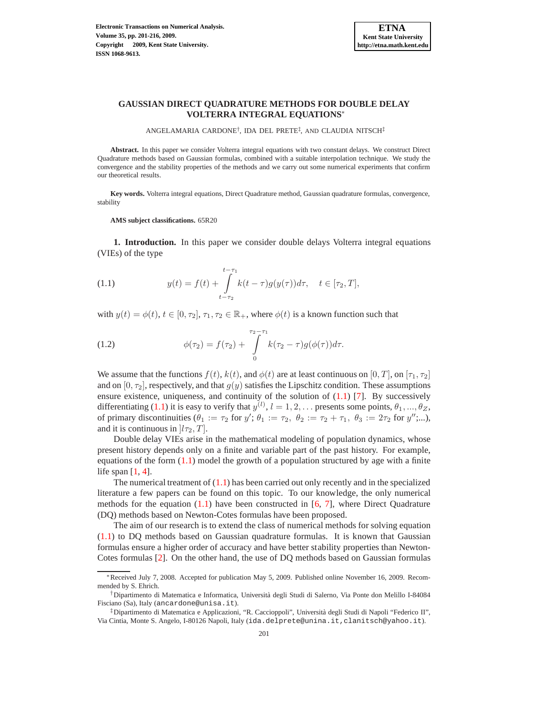ANGELAMARIA CARDONE<sup>†</sup>, IDA DEL PRETE<sup>‡</sup>, AND CLAUDIA NITSCH<sup>‡</sup>

**Abstract.** In this paper we consider Volterra integral equations with two constant delays. We construct Direct Quadrature methods based on Gaussian formulas, combined with a suitable interpolation technique. We study the convergence and the stability properties of the methods and we carry out some numerical experiments that confirm our theoretical results.

**Key words.** Volterra integral equations, Direct Quadrature method, Gaussian quadrature formulas, convergence, stability

**AMS subject classifications.** 65R20

**1. Introduction.** In this paper we consider double delays Volterra integral equations (VIEs) of the type

<span id="page-0-0"></span>(1.1) 
$$
y(t) = f(t) + \int_{t-\tau_2}^{t-\tau_1} k(t-\tau)g(y(\tau))d\tau, \quad t \in [\tau_2, T],
$$

with  $y(t) = \phi(t)$ ,  $t \in [0, \tau_2]$ ,  $\tau_1, \tau_2 \in \mathbb{R}_+$ , where  $\phi(t)$  is a known function such that

(1.2) 
$$
\phi(\tau_2) = f(\tau_2) + \int_{0}^{\tau_2 - \tau_1} k(\tau_2 - \tau) g(\phi(\tau)) d\tau.
$$

We assume that the functions  $f(t)$ ,  $k(t)$ , and  $\phi(t)$  are at least continuous on [0, T], on [ $\tau_1$ ,  $\tau_2$ ] and on  $[0, \tau_2]$ , respectively, and that  $g(y)$  satisfies the Lipschitz condition. These assumptions ensure existence, uniqueness, and continuity of the solution of  $(1.1)$  [\[7\]](#page-15-0). By successively differentiating [\(1.1\)](#page-0-0) it is easy to verify that  $y^{(l)}$ ,  $l = 1, 2, \ldots$  presents some points,  $\theta_1, \ldots, \theta_Z$ , of primary discontinuities  $(\theta_1 := \tau_2 \text{ for } y'; \theta_1 := \tau_2, \ \theta_2 := \tau_2 + \tau_1, \ \theta_3 := 2\tau_2 \text{ for } y''; \dots),$ and it is continuous in  $[l\tau_2, T]$ .

Double delay VIEs arise in the mathematical modeling of population dynamics, whose present history depends only on a finite and variable part of the past history. For example, equations of the form  $(1.1)$  model the growth of a population structured by age with a finite life span  $[1, 4]$  $[1, 4]$  $[1, 4]$ .

The numerical treatment of  $(1.1)$  has been carried out only recently and in the specialized literature a few papers can be found on this topic. To our knowledge, the only numerical methods for the equation  $(1.1)$  have been constructed in  $[6, 7]$  $[6, 7]$ , where Direct Quadrature (DQ) methods based on Newton-Cotes formulas have been proposed.

The aim of our research is to extend the class of numerical methods for solving equation [\(1.1\)](#page-0-0) to DQ methods based on Gaussian quadrature formulas. It is known that Gaussian formulas ensure a higher order of accuracy and have better stability properties than Newton-Cotes formulas [\[2\]](#page-15-4). On the other hand, the use of DQ methods based on Gaussian formulas

<sup>∗</sup>Received July 7, 2008. Accepted for publication May 5, 2009. Published online November 16, 2009. Recommended by S. Ehrich.

<sup>†</sup>Dipartimento di Matematica e Informatica, Universit`a degli Studi di Salerno, Via Ponte don Melillo I-84084 Fisciano (Sa), Italy (ancardone@unisa.it).

<sup>&</sup>lt;sup>‡</sup>Dipartimento di Matematica e Applicazioni, "R. Caccioppoli", Università degli Studi di Napoli "Federico II", Via Cintia, Monte S. Angelo, I-80126 Napoli, Italy (ida.delprete@unina.it,clanitsch@yahoo.it).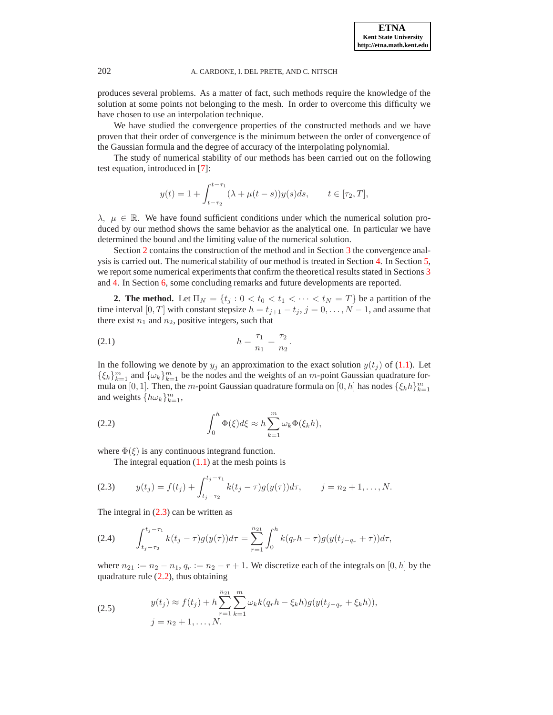produces several problems. As a matter of fact, such methods require the knowledge of the solution at some points not belonging to the mesh. In order to overcome this difficulty we have chosen to use an interpolation technique.

We have studied the convergence properties of the constructed methods and we have proven that their order of convergence is the minimum between the order of convergence of the Gaussian formula and the degree of accuracy of the interpolating polynomial.

The study of numerical stability of our methods has been carried out on the following test equation, introduced in [\[7\]](#page-15-0):

$$
y(t) = 1 + \int_{t-\tau_2}^{t-\tau_1} (\lambda + \mu(t-s))y(s)ds, \qquad t \in [\tau_2, T],
$$

 $\lambda$ ,  $\mu \in \mathbb{R}$ . We have found sufficient conditions under which the numerical solution produced by our method shows the same behavior as the analytical one. In particular we have determined the bound and the limiting value of the numerical solution.

Section [2](#page-1-0) contains the construction of the method and in Section [3](#page-3-0) the convergence analysis is carried out. The numerical stability of our method is treated in Section [4.](#page-5-0) In Section [5,](#page-11-0) we report some numerical experiments that confirm the theoretical results stated in Sections [3](#page-3-0) and [4.](#page-5-0) In Section [6,](#page-14-0) some concluding remarks and future developments are reported.

<span id="page-1-0"></span>**2. The method.** Let  $\Pi_N = \{t_i : 0 < t_0 < t_1 < \cdots < t_N = T\}$  be a partition of the time interval [0, T] with constant stepsize  $h = t_{j+1} - t_j$ ,  $j = 0, ..., N - 1$ , and assume that there exist  $n_1$  and  $n_2$ , positive integers, such that

<span id="page-1-4"></span>(2.1) 
$$
h = \frac{\tau_1}{n_1} = \frac{\tau_2}{n_2}.
$$

In the following we denote by  $y_j$  an approximation to the exact solution  $y(t_j)$  of [\(1.1\)](#page-0-0). Let  $\{\xi_k\}_{k=1}^m$  and  $\{\omega_k\}_{k=1}^m$  be the nodes and the weights of an m-point Gaussian quadrature formula on [0, 1]. Then, the *m*-point Gaussian quadrature formula on [0, h] has nodes  $\{\xi_k h\}_{k=1}^m$ and weights  $\{h\omega_k\}_{k=1}^m$ ,

<span id="page-1-2"></span>(2.2) 
$$
\int_0^h \Phi(\xi) d\xi \approx h \sum_{k=1}^m \omega_k \Phi(\xi_k h),
$$

where  $\Phi(\xi)$  is any continuous integrand function.

The integral equation  $(1.1)$  at the mesh points is

<span id="page-1-1"></span>(2.3) 
$$
y(t_j) = f(t_j) + \int_{t_j - \tau_2}^{t_j - \tau_1} k(t_j - \tau) g(y(\tau)) d\tau, \qquad j = n_2 + 1, ..., N.
$$

The integral in  $(2.3)$  can be written as

(2.4) 
$$
\int_{t_j - \tau_2}^{t_j - \tau_1} k(t_j - \tau) g(y(\tau)) d\tau = \sum_{r=1}^{n_{21}} \int_0^h k(q_r h - \tau) g(y(t_{j-q_r} + \tau)) d\tau,
$$

where  $n_{21} := n_2 - n_1$ ,  $q_r := n_2 - r + 1$ . We discretize each of the integrals on [0, h] by the quadrature rule  $(2.2)$ , thus obtaining

<span id="page-1-3"></span>(2.5) 
$$
y(t_j) \approx f(t_j) + h \sum_{r=1}^{n_{21}} \sum_{k=1}^{m} \omega_k k (q_r h - \xi_k h) g(y(t_{j-q_r} + \xi_k h)),
$$

$$
j = n_2 + 1, ..., N.
$$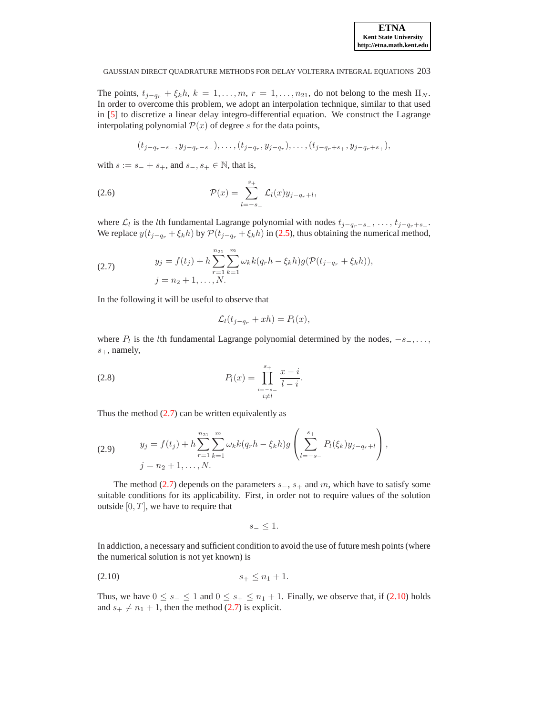The points,  $t_{j-q_r} + \xi_k h$ ,  $k = 1, \ldots, m$ ,  $r = 1, \ldots, n_{21}$ , do not belong to the mesh  $\Pi_N$ . In order to overcome this problem, we adopt an interpolation technique, similar to that used in [\[5\]](#page-15-5) to discretize a linear delay integro-differential equation. We construct the Lagrange interpolating polynomial  $P(x)$  of degree s for the data points,

<span id="page-2-2"></span>
$$
(t_{j-q_r-s_-}, y_{j-q_r-s_-}), \ldots, (t_{j-q_r}, y_{j-q_r}), \ldots, (t_{j-q_r+s_+}, y_{j-q_r+s_+}),
$$

with  $s := s_+ + s_+$ , and  $s_-, s_+ \in \mathbb{N}$ , that is,

(2.6) 
$$
\mathcal{P}(x) = \sum_{l=-s-}^{s+} \mathcal{L}_l(x) y_{j-q_r+l},
$$

where  $\mathcal{L}_l$  is the *l*th fundamental Lagrange polynomial with nodes  $t_{j-q_r-s_+}, \ldots, t_{j-q_r+s_+}.$ We replace  $y(t_{j-q_r} + \xi_k h)$  by  $\mathcal{P}(t_{j-q_r} + \xi_k h)$  in [\(2.5\)](#page-1-3), thus obtaining the numerical method,

<span id="page-2-0"></span>(2.7) 
$$
y_j = f(t_j) + h \sum_{r=1}^{n_{21}} \sum_{k=1}^m \omega_k k (q_r h - \xi_k h) g(\mathcal{P}(t_{j-q_r} + \xi_k h)),
$$

$$
j = n_2 + 1, ..., N.
$$

In the following it will be useful to observe that

$$
\mathcal{L}_l(t_{j-q_r} + xh) = P_l(x),
$$

where  $P_l$  is the *l*th fundamental Lagrange polynomial determined by the nodes,  $-s_-\dots$ ,  $s_+$ , namely,

<span id="page-2-4"></span>(2.8) 
$$
P_l(x) = \prod_{\substack{i=-s-1\\i\neq l}}^{s+} \frac{x-i}{l-i}.
$$

Thus the method  $(2.7)$  can be written equivalently as

<span id="page-2-3"></span>(2.9) 
$$
y_j = f(t_j) + h \sum_{r=1}^{n_{21}} \sum_{k=1}^{m} \omega_k k (q_r h - \xi_k h) g\left(\sum_{l=-s_-}^{s_+} P_l(\xi_k) y_{j-q_r+l}\right),
$$

$$
j = n_2 + 1, ..., N.
$$

The method [\(2.7\)](#page-2-0) depends on the parameters  $s_-, s_+$  and m, which have to satisfy some suitable conditions for its applicability. First, in order not to require values of the solution outside  $[0, T]$ , we have to require that

$$
s_- \leq 1.
$$

In addiction, a necessary and sufficient condition to avoid the use of future mesh points (where the numerical solution is not yet known) is

<span id="page-2-1"></span>
$$
(2.10) \t\t s_+ \le n_1 + 1.
$$

Thus, we have  $0 \le s_-\le 1$  and  $0 \le s_+\le n_1+1$ . Finally, we observe that, if [\(2.10\)](#page-2-1) holds and  $s_+ \neq n_1 + 1$ , then the method [\(2.7\)](#page-2-0) is explicit.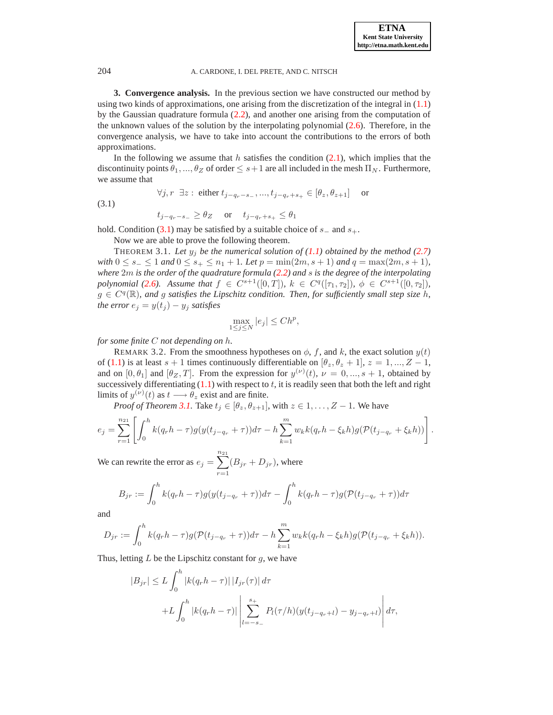<span id="page-3-0"></span>**3. Convergence analysis.** In the previous section we have constructed our method by using two kinds of approximations, one arising from the discretization of the integral in  $(1.1)$ by the Gaussian quadrature formula  $(2.2)$ , and another one arising from the computation of the unknown values of the solution by the interpolating polynomial  $(2.6)$ . Therefore, in the convergence analysis, we have to take into account the contributions to the errors of both approximations.

In the following we assume that h satisfies the condition  $(2.1)$ , which implies that the discontinuity points  $\theta_1, ..., \theta_Z$  of order  $\leq s+1$  are all included in the mesh  $\Pi_N$ . Furthermore, we assume that

<span id="page-3-1"></span>(3.1) 
$$
\forall j, r \exists z : \text{either } t_{j-q_r-s_-}, ..., t_{j-q_r+s_+} \in [\theta_z, \theta_{z+1}] \text{ or}
$$

$$
t_{j-q_r-s_-} \ge \theta_Z \text{ or } t_{j-q_r+s_+} \le \theta_1
$$

hold. Condition [\(3.1\)](#page-3-1) may be satisfied by a suitable choice of  $s_$  and  $s_+$ .

Now we are able to prove the following theorem.

<span id="page-3-2"></span>THEOREM 3.1. Let  $y_j$  be the numerical solution of  $(1.1)$  obtained by the method  $(2.7)$ *with*  $0 \le s_-\le 1$  *and*  $0 \le s_+\le n_1+1$ *. Let*  $p = \min(2m, s+1)$  *and*  $q = \max(2m, s+1)$ *, where* 2m *is the order of the quadrature formula [\(2.2\)](#page-1-2) and* s *is the degree of the interpolating polynomial* [\(2.6\)](#page-2-2)*.* Assume that  $f \in C^{s+1}([0,T])$ ,  $k \in C^q([\tau_1, \tau_2])$ ,  $\phi \in C^{s+1}([0, \tau_2])$ ,  $g \in C<sup>q</sup>(\mathbb{R})$ , and g satisfies the Lipschitz condition. Then, for sufficiently small step size h, *the error*  $e_j = y(t_j) - y_j$  *satisfies* 

$$
\max_{1 \le j \le N} |e_j| \le Ch^p,
$$

<span id="page-3-3"></span>*for some finite* C *not depending on* h*.*

REMARK 3.2. From the smoothness hypotheses on  $\phi$ , f, and k, the exact solution  $y(t)$ of [\(1.1\)](#page-0-0) is at least  $s + 1$  times continuously differentiable on  $[\theta_z, \theta_z + 1]$ ,  $z = 1, ..., Z - 1$ , and on  $[0, \theta_1]$  and  $[\theta_Z, T]$ . From the expression for  $y^{(\nu)}(t)$ ,  $\nu = 0, ..., s + 1$ , obtained by successively differentiating  $(1.1)$  with respect to t, it is readily seen that both the left and right limits of  $y^{(\nu)}(t)$  as  $t \longrightarrow \theta_z$  exist and are finite.

*Proof of Theorem [3.1.](#page-3-2)* Take  $t_i \in [\theta_z, \theta_{z+1}]$ , with  $z \in 1, \ldots, Z-1$ . We have

$$
e_j = \sum_{r=1}^{n_{21}} \left[ \int_0^h k(q_r h - \tau) g(y(t_{j-q_r} + \tau)) d\tau - h \sum_{k=1}^m w_k k(q_r h - \xi_k h) g(\mathcal{P}(t_{j-q_r} + \xi_k h)) \right].
$$

We can rewrite the error as  $e_j = \sum_{i=1}^{n_{21}}$  $r=1$  $(B_{jr} + D_{jr})$ , where

$$
B_{jr} := \int_0^h k(q_r h - \tau) g(y(t_{j-q_r} + \tau)) d\tau - \int_0^h k(q_r h - \tau) g(\mathcal{P}(t_{j-q_r} + \tau)) d\tau
$$

and

$$
D_{jr} := \int_0^h k(q_r h - \tau) g(\mathcal{P}(t_{j-q_r} + \tau)) d\tau - h \sum_{k=1}^m w_k k(q_r h - \xi_k h) g(\mathcal{P}(t_{j-q_r} + \xi_k h)).
$$

Thus, letting  $L$  be the Lipschitz constant for  $g$ , we have

$$
|B_{jr}| \le L \int_0^h |k(q_r h - \tau)| |I_{jr}(\tau)| d\tau
$$
  
+L  $\int_0^h |k(q_r h - \tau)| \left| \sum_{l=-s_-}^{s_+} P_l(\tau/h)(y(t_{j-q_r+l}) - y_{j-q_r+l}) \right| d\tau,$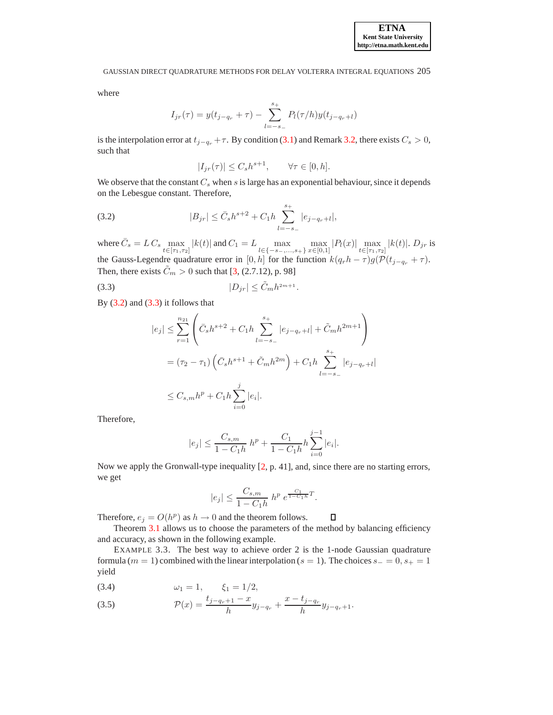where

$$
I_{jr}(\tau) = y(t_{j-q_r} + \tau) - \sum_{l=-s_-}^{s_+} P_l(\tau/h) y(t_{j-q_r+l})
$$

is the interpolation error at  $t_{j-q_r} + \tau$ . By condition [\(3.1\)](#page-3-1) and Remark [3.2,](#page-3-3) there exists  $C_s > 0$ , such that

$$
|I_{jr}(\tau)| \le C_s h^{s+1}, \qquad \forall \tau \in [0, h].
$$

We observe that the constant  $C_s$  when s is large has an exponential behaviour, since it depends on the Lebesgue constant. Therefore,

<span id="page-4-0"></span>(3.2) 
$$
|B_{jr}| \leq \bar{C}_s h^{s+2} + C_1 h \sum_{l=-s_-}^{s_+} |e_{j-q_r+l}|,
$$

where  $\bar{C}_s = L C_s \max_{t \in [\tau_1, \tau_2]} |k(t)|$  and  $C_1 = L \max_{l \in \{-s \text{---}, s + \}} \max_{x \in [0,1]} |P_l(x)| \max_{t \in [\tau_1, \tau_2]} |k(t)|$ .  $D_{jr}$  is the Gauss-Legendre quadrature error in [0, h] for the function  $k(q_r h - \tau)g(\mathcal{P}(t_{j-q_r} + \tau))$ . Then, there exists  $\tilde{C}_m > 0$  such that [\[3,](#page-15-6) (2.7.12), p. 98]

$$
(3.3) \t\t\t |D_{jr}| \leq \tilde{C}_m h^{2m+1}.
$$

By  $(3.2)$  and  $(3.3)$  it follows that

<span id="page-4-1"></span>
$$
|e_j| \leq \sum_{r=1}^{n_{21}} \left( \bar{C}_s h^{s+2} + C_1 h \sum_{l=-s_-}^{s_+} |e_{j-q_r+l}| + \tilde{C}_m h^{2m+1} \right)
$$
  
=  $(\tau_2 - \tau_1) \left( \bar{C}_s h^{s+1} + \tilde{C}_m h^{2m} \right) + C_1 h \sum_{l=-s_-}^{s_+} |e_{j-q_r+l}|$   
 $\leq C_{s,m} h^p + C_1 h \sum_{i=0}^j |e_i|.$ 

Therefore,

$$
|e_j|\leq \frac{C_{s,m}}{1-C_1h}\;h^p+\frac{C_1}{1-C_1h}h\sum_{i=0}^{j-1}|e_i|.
$$

Now we apply the Gronwall-type inequality  $[2, p. 41]$  $[2, p. 41]$ , and, since there are no starting errors, we get

$$
|e_j| \le \frac{C_{s,m}}{1 - C_1 h} \; h^p \; e^{\frac{C_1}{1 - C_1 h} T}.
$$

Therefore,  $e_j = O(h^p)$  as  $h \to 0$  and the theorem follows.  $\Box$ 

Theorem [3.1](#page-3-2) allows us to choose the parameters of the method by balancing efficiency and accuracy, as shown in the following example.

EXAMPLE 3.3. The best way to achieve order 2 is the 1-node Gaussian quadrature formula ( $m = 1$ ) combined with the linear interpolation ( $s = 1$ ). The choices  $s_ - = 0$ ,  $s_ + = 1$ yield

<span id="page-4-2"></span>(3.4) 
$$
\omega_1 = 1, \quad \xi_1 = 1/2,
$$

(3.5) 
$$
\mathcal{P}(x) = \frac{t_{j-q_r+1} - x}{h} y_{j-q_r} + \frac{x - t_{j-q_r}}{h} y_{j-q_r+1}.
$$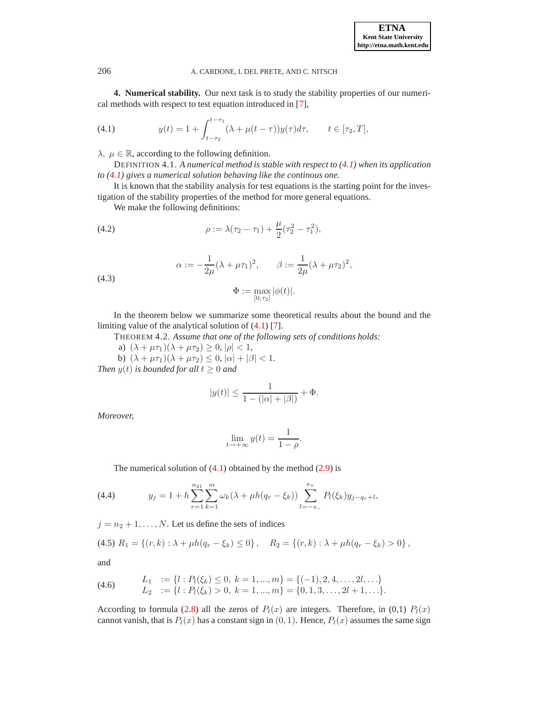<span id="page-5-0"></span>**4. Numerical stability.** Our next task is to study the stability properties of our numerical methods with respect to test equation introduced in [\[7\]](#page-15-0),

<span id="page-5-1"></span>(4.1) 
$$
y(t) = 1 + \int_{t-\tau_2}^{t-\tau_1} (\lambda + \mu(t-\tau))y(\tau)d\tau, \qquad t \in [\tau_2, T],
$$

<span id="page-5-5"></span> $\lambda, \mu \in \mathbb{R}$ , according to the following definition.

DEFINITION 4.1. *A numerical method is stable with respect to [\(4.1\)](#page-5-1) when its application to [\(4.1\)](#page-5-1) gives a numerical solution behaving like the continous one.*

It is known that the stability analysis for test equations is the starting point for the investigation of the stability properties of the method for more general equations.

<span id="page-5-4"></span>We make the following definitions:

(4.2) 
$$
\rho := \lambda(\tau_2 - \tau_1) + \frac{\mu}{2}(\tau_2^2 - \tau_1^2),
$$

<span id="page-5-6"></span>(4.3) 
$$
\alpha := -\frac{1}{2\mu} (\lambda + \mu \tau_1)^2, \qquad \beta := \frac{1}{2\mu} (\lambda + \mu \tau_2)^2,
$$

$$
\Phi := \max_{[0,\tau_2]} |\phi(t)|.
$$

<span id="page-5-7"></span>In the theorem below we summarize some theoretical results about the bound and the limiting value of the analytical solution of [\(4.1\)](#page-5-1) [\[7\]](#page-15-0).

THEOREM 4.2. *Assume that one of the following sets of conditions holds:*

- a)  $(\lambda + \mu \tau_1)(\lambda + \mu \tau_2) \geq 0, |\rho| < 1$ ,
- b)  $(\lambda + \mu \tau_1)(\lambda + \mu \tau_2) \leq 0$ ,  $|\alpha| + |\beta| < 1$ .

*Then*  $y(t)$  *is bounded for all*  $t \geq 0$  *and* 

$$
|y(t)| \le \frac{1}{1 - (|\alpha| + |\beta|)} + \Phi.
$$

*Moreover,*

$$
\lim_{t \to +\infty} y(t) = \frac{1}{1 - \rho}.
$$

The numerical solution of  $(4.1)$  obtained by the method  $(2.9)$  is

<span id="page-5-3"></span>(4.4) 
$$
y_j = 1 + h \sum_{r=1}^{n_{21}} \sum_{k=1}^{m} \omega_k (\lambda + \mu h (q_r - \xi_k)) \sum_{l=-s_-}^{s_+} P_l(\xi_k) y_{j-q_r+l},
$$

 $j = n_2 + 1, \ldots, N$ . Let us define the sets of indices

$$
(4.5) \ R_1 = \{ (r,k) : \lambda + \mu h(q_r - \xi_k) \leq 0 \}, \quad R_2 = \{ (r,k) : \lambda + \mu h(q_r - \xi_k) > 0 \},
$$

and

<span id="page-5-2"></span>(4.6) 
$$
L_1 := \{l : P_l(\xi_k) \leq 0, k = 1, ..., m\} = \{(-1), 2, 4, ..., 2l, ...\}
$$

$$
L_2 := \{l : P_l(\xi_k) > 0, k = 1, ..., m\} = \{0, 1, 3, ..., 2l + 1, ...\}.
$$

According to formula [\(2.8\)](#page-2-4) all the zeros of  $P_l(x)$  are integers. Therefore, in (0,1)  $P_l(x)$ cannot vanish, that is  $P_l(x)$  has a constant sign in  $(0, 1)$ . Hence,  $P_l(x)$  assumes the same sign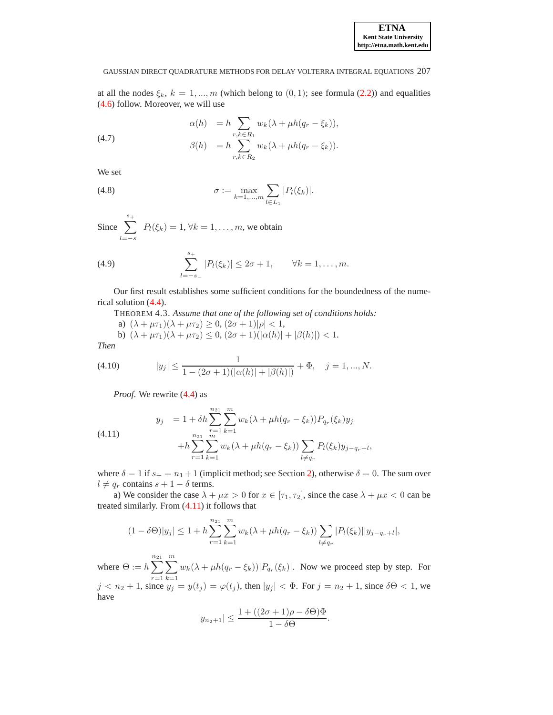at all the nodes  $\xi_k$ ,  $k = 1, ..., m$  (which belong to  $(0, 1)$ ; see formula [\(2.2\)](#page-1-2)) and equalities [\(4.6\)](#page-5-2) follow. Moreover, we will use

<span id="page-6-3"></span>(4.7) 
$$
\alpha(h) = h \sum_{r,k \in R_1} w_k(\lambda + \mu h(q_r - \xi_k)),
$$

$$
\beta(h) = h \sum_{r,k \in R_2} w_k(\lambda + \mu h(q_r - \xi_k)).
$$

We set

(4.8) 
$$
\sigma := \max_{k=1,...,m} \sum_{l \in L_1} |P_l(\xi_k)|.
$$

Since 
$$
\sum_{l=-s-}^{s+} P_l(\xi_k) = 1, \forall k = 1, ..., m
$$
, we obtain

(4.9) 
$$
\sum_{l=-s_-}^{s_+} |P_l(\xi_k)| \leq 2\sigma + 1, \qquad \forall k = 1, ..., m.
$$

<span id="page-6-2"></span>Our first result establishes some sufficient conditions for the boundedness of the numerical solution [\(4.4\)](#page-5-3).

THEOREM 4.3. *Assume that one of the following set of conditions holds:*

a)  $(\lambda + \mu \tau_1)(\lambda + \mu \tau_2) \geq 0$ ,  $(2\sigma + 1)|\rho| < 1$ , b)  $(\lambda + \mu \tau_1)(\lambda + \mu \tau_2) \leq 0$ ,  $(2\sigma + 1)(|\alpha(h)| + |\beta(h)|) < 1$ .

*Then*

<span id="page-6-1"></span>(4.10) 
$$
|y_j| \leq \frac{1}{1 - (2\sigma + 1)(|\alpha(h)| + |\beta(h)|)} + \Phi, \quad j = 1, ..., N.
$$

*Proof*. We rewrite [\(4.4\)](#page-5-3) as

<span id="page-6-0"></span>(4.11) 
$$
y_j = 1 + \delta h \sum_{r=1}^{n_{21}} \sum_{k=1}^m w_k (\lambda + \mu h(q_r - \xi_k)) P_{q_r}(\xi_k) y_j + h \sum_{r=1}^{n_{21}} \sum_{k=1}^m w_k (\lambda + \mu h(q_r - \xi_k)) \sum_{l \neq q_r} P_l(\xi_k) y_{j-q_r+l},
$$

where  $\delta = 1$  if  $s_+ = n_1 + 1$  (implicit method; see Section [2\)](#page-1-0), otherwise  $\delta = 0$ . The sum over  $l \neq q_r$  contains  $s + 1 - \delta$  terms.

a) We consider the case  $\lambda + \mu x > 0$  for  $x \in [\tau_1, \tau_2]$ , since the case  $\lambda + \mu x < 0$  can be treated similarly. From [\(4.11\)](#page-6-0) it follows that

$$
(1 - \delta \Theta)|y_j| \le 1 + h \sum_{r=1}^{n_{21}} \sum_{k=1}^m w_k(\lambda + \mu h(q_r - \xi_k)) \sum_{l \neq q_r} |P_l(\xi_k)||y_{j-q_r+l}|,
$$

where  $\Theta := h \sum_{n=1}^{n_{21}}$  $r=1$  $\sum_{ }^{\infty}$  $k=1$  $w_k(\lambda + \mu h(q_r - \xi_k))|P_{q_r}(\xi_k)|$ . Now we proceed step by step. For  $j < n_2 + 1$ , since  $y_j = y(t_j) = \varphi(t_j)$ , then  $|y_j| < \Phi$ . For  $j = n_2 + 1$ , since  $\delta\Theta < 1$ , we have

$$
|y_{n_2+1}| \le \frac{1 + ((2\sigma + 1)\rho - \delta\Theta)\Phi}{1 - \delta\Theta}.
$$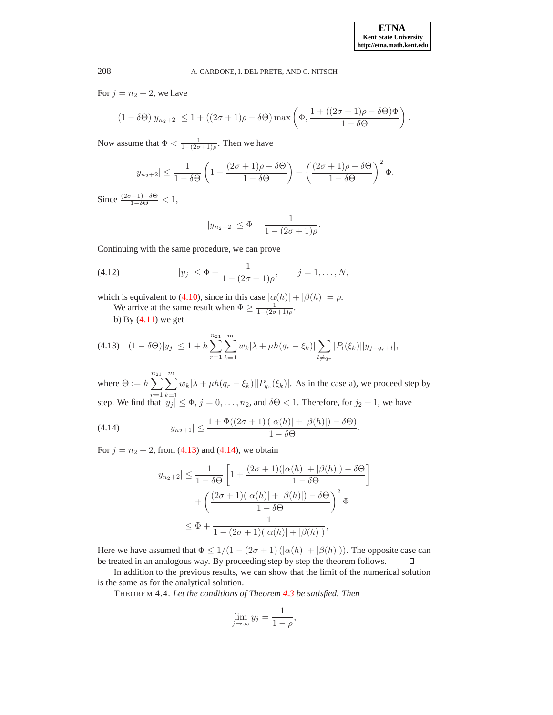For  $j = n_2 + 2$ , we have

$$
(1 - \delta\Theta)|y_{n_2+2}| \le 1 + ((2\sigma + 1)\rho - \delta\Theta) \max\left(\Phi, \frac{1 + ((2\sigma + 1)\rho - \delta\Theta)\Phi}{1 - \delta\Theta}\right).
$$

Now assume that  $\Phi < \frac{1}{1-(2\sigma+1)\rho}$ . Then we have

$$
|y_{n_2+2}| \leq \frac{1}{1-\delta\Theta} \left(1 + \frac{(2\sigma+1)\rho - \delta\Theta}{1-\delta\Theta}\right) + \left(\frac{(2\sigma+1)\rho - \delta\Theta}{1-\delta\Theta}\right)^2 \Phi.
$$

Since  $\frac{(2\sigma+1)-\delta\Theta}{1-\delta\Theta} < 1$ ,

$$
|y_{n_2+2}| \leq \Phi + \frac{1}{1 - (2\sigma + 1)\rho}.
$$

Continuing with the same procedure, we can prove

(4.12) 
$$
|y_j| \le \Phi + \frac{1}{1 - (2\sigma + 1)\rho}, \qquad j = 1, ..., N,
$$

which is equivalent to [\(4.10\)](#page-6-1), since in this case  $|\alpha(h)| + |\beta(h)| = \rho$ .

We arrive at the same result when  $\Phi \geq \frac{1}{1-(2\sigma+1)\rho}$ . b) By  $(4.11)$  we get

<span id="page-7-0"></span>
$$
(4.13) \quad (1 - \delta \Theta)|y_j| \le 1 + h \sum_{r=1}^{n_{21}} \sum_{k=1}^m w_k |\lambda + \mu h(q_r - \xi_k)| \sum_{l \neq q_r} |P_l(\xi_k)| |y_{j-q_r+l}|,
$$

where  $\Theta := h \sum_{n=1}^{n_{21}}$  $r=1$  $\sum_{ }^{m}$  $k=1$  $w_k|\lambda + \mu h(q_r - \xi_k)||P_{q_r}(\xi_k)|$ . As in the case a), we proceed step by step. We find that  $|y_j| \le \Phi$ ,  $j = 0, \ldots, n_2$ , and  $\delta \Theta < 1$ . Therefore, for  $j_2 + 1$ , we have

<span id="page-7-1"></span>(4.14) 
$$
|y_{n_2+1}| \leq \frac{1 + \Phi((2\sigma + 1) \left( |\alpha(h)| + |\beta(h)| \right) - \delta \Theta)}{1 - \delta \Theta}.
$$

For  $j = n_2 + 2$ , from [\(4.13\)](#page-7-0) and [\(4.14\)](#page-7-1), we obtain

$$
|y_{n_2+2}| \le \frac{1}{1-\delta\Theta} \left[ 1 + \frac{(2\sigma+1)(|\alpha(h)|+|\beta(h)|)-\delta\Theta}{1-\delta\Theta} \right]
$$

$$
+ \left( \frac{(2\sigma+1)(|\alpha(h)|+|\beta(h)|)-\delta\Theta}{1-\delta\Theta} \right)^2 \Phi
$$

$$
\le \Phi + \frac{1}{1-(2\sigma+1)(|\alpha(h)|+|\beta(h)|)},
$$

Here we have assumed that  $\Phi \leq 1/(1-(2\sigma+1)(|\alpha(h)|+|\beta(h)|))$ . The opposite case can be treated in an analogous way. By proceeding step by step the theorem follows.  $\Box$ 

<span id="page-7-2"></span>In addition to the previous results, we can show that the limit of the numerical solution is the same as for the analytical solution.

THEOREM 4.4. *Let the conditions of Theorem [4.3](#page-6-2) be satisfied. Then*

$$
\lim_{j \to \infty} y_j = \frac{1}{1 - \rho},
$$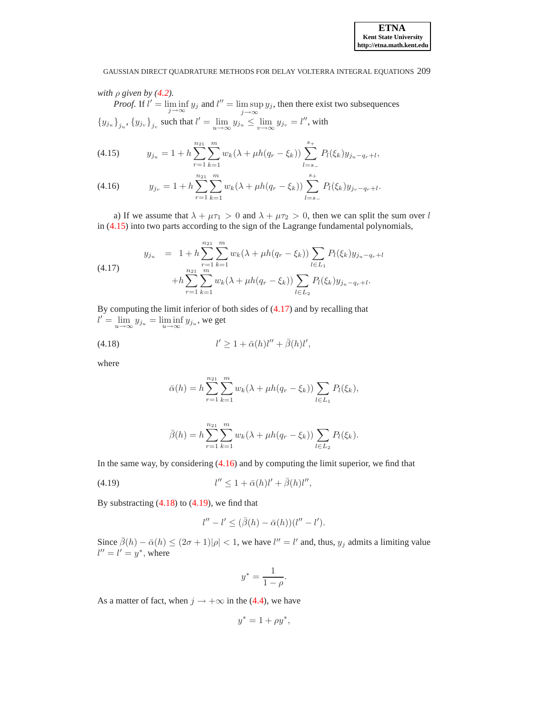# *with*  $\rho$  *given by* [\(4.2\)](#page-5-4)*.*

*Proof.* If  $l' = \liminf_{j \to \infty} y_j$  and  $l'' = \limsup_{j \to \infty} y_j$ , then there exist two subsequences  ${y_{j_u}}_{j_u}, {y_{j_v}}_{j_v}$  such that  $l' = \lim_{u \to \infty} y_{j_u} \le \lim_{v \to \infty} y_{j_v} = l''$ , with

<span id="page-8-0"></span>(4.15) 
$$
y_{j_u} = 1 + h \sum_{r=1}^{n_{21}} \sum_{k=1}^m w_k (\lambda + \mu h(q_r - \xi_k)) \sum_{l=s_-}^{s_+} P_l(\xi_k) y_{j_u - q_r + l},
$$

(4.16) 
$$
y_{j_v} = 1 + h \sum_{r=1}^{n_{21}} \sum_{k=1}^{m} w_k (\lambda + \mu h(q_r - \xi_k)) \sum_{l=s_-}^{s_+} P_l(\xi_k) y_{j_v - q_r + l}.
$$

a) If we assume that  $\lambda + \mu \tau_1 > 0$  and  $\lambda + \mu \tau_2 > 0$ , then we can split the sum over l in [\(4.15\)](#page-8-0) into two parts according to the sign of the Lagrange fundamental polynomials,

<span id="page-8-1"></span>
$$
y_{j_u} = 1 + h \sum_{r=1}^{n_{21}} \sum_{k=1}^m w_k (\lambda + \mu h(q_r - \xi_k)) \sum_{l \in L_1} P_l(\xi_k) y_{j_u - q_r + l}
$$
  

$$
+ h \sum_{r=1}^{n_{21}} \sum_{k=1}^m w_k (\lambda + \mu h(q_r - \xi_k)) \sum_{l \in L_2} P_l(\xi_k) y_{j_u - q_r + l}.
$$

By computing the limit inferior of both sides of [\(4.17\)](#page-8-1) and by recalling that  $l' = \lim_{u \to \infty} y_{j_u} = \liminf_{u \to \infty} y_{j_u}$ , we get

$$
l' \ge 1 + \bar{\alpha}(h)l'' + \bar{\beta}(h)l',
$$

where

<span id="page-8-2"></span>
$$
\bar{\alpha}(h) = h \sum_{r=1}^{n_{21}} \sum_{k=1}^{m} w_k (\lambda + \mu h(q_r - \xi_k)) \sum_{l \in L_1} P_l(\xi_k),
$$

$$
\bar{\beta}(h) = h \sum_{r=1}^{n_{21}} \sum_{k=1}^{m} w_k (\lambda + \mu h(q_r - \xi_k)) \sum_{l \in L_2} P_l(\xi_k).
$$

In the same way, by considering  $(4.16)$  and by computing the limit superior, we find that

<span id="page-8-3"></span>
$$
(4.19) \t\t\t l'' \le 1 + \bar{\alpha}(h)l' + \bar{\beta}(h)l'',
$$

By substracting  $(4.18)$  to  $(4.19)$ , we find that

$$
l''-l' \leq (\bar{\beta}(h)-\bar{\alpha}(h))(l''-l').
$$

Since  $\bar{\beta}(h) - \bar{\alpha}(h) \leq (2\sigma + 1)|\rho| < 1$ , we have  $l'' = l'$  and, thus,  $y_j$  admits a limiting value  $l'' = l' = y^*$ , where

$$
y^* = \frac{1}{1 - \rho}.
$$

As a matter of fact, when  $j \rightarrow +\infty$  in the [\(4.4\)](#page-5-3), we have

$$
y^* = 1 + \rho y^*,
$$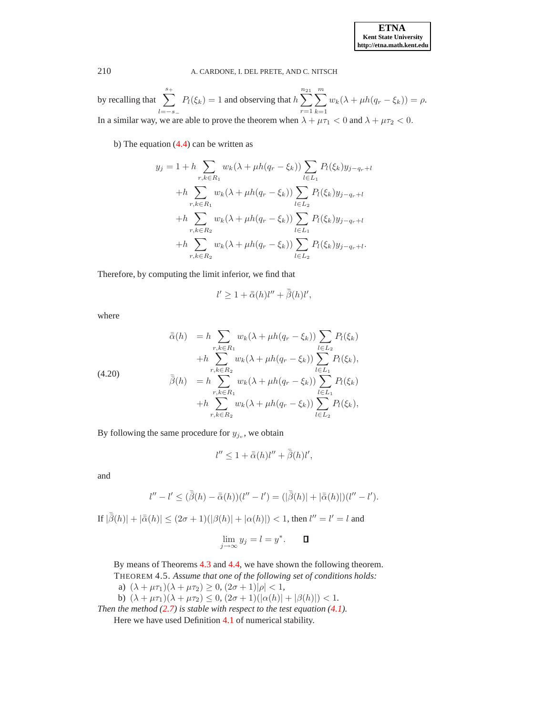by recalling that  $\sum_{n=1}^{s+1}$  $l=-s_-\,$  $P_l(\xi_k) = 1$  and observing that  $h \sum_{n=1}^{n_{21}}$  $r=1$  $\sum_{ }^m$  $k=1$  $w_k(\lambda + \mu h(q_r - \xi_k)) = \rho.$ In a similar way, we are able to prove the theorem when  $\lambda + \mu \tau_1 < 0$  and  $\lambda + \mu \tau_2 < 0$ .

b) The equation [\(4.4\)](#page-5-3) can be written as

$$
y_j = 1 + h \sum_{r,k \in R_1} w_k(\lambda + \mu h(q_r - \xi_k)) \sum_{l \in L_1} P_l(\xi_k) y_{j-q_r+l}
$$
  
+
$$
h \sum_{r,k \in R_1} w_k(\lambda + \mu h(q_r - \xi_k)) \sum_{l \in L_2} P_l(\xi_k) y_{j-q_r+l}
$$
  
+
$$
h \sum_{r,k \in R_2} w_k(\lambda + \mu h(q_r - \xi_k)) \sum_{l \in L_1} P_l(\xi_k) y_{j-q_r+l}
$$
  
+
$$
h \sum_{r,k \in R_2} w_k(\lambda + \mu h(q_r - \xi_k)) \sum_{l \in L_2} P_l(\xi_k) y_{j-q_r+l}.
$$

Therefore, by computing the limit inferior, we find that

$$
l' \ge 1 + \bar{\bar{\alpha}}(h)l'' + \bar{\bar{\beta}}(h)l',
$$

where

(4.20)  
\n
$$
\bar{\alpha}(h) = h \sum_{r,k \in R_1} w_k(\lambda + \mu h(q_r - \xi_k)) \sum_{l \in L_2} P_l(\xi_k)
$$
\n
$$
+ h \sum_{r,k \in R_2} w_k(\lambda + \mu h(q_r - \xi_k)) \sum_{l \in L_1} P_l(\xi_k),
$$
\n
$$
\bar{\beta}(h) = h \sum_{r,k \in R_1} w_k(\lambda + \mu h(q_r - \xi_k)) \sum_{l \in L_1} P_l(\xi_k)
$$
\n
$$
+ h \sum_{r,k \in R_2} w_k(\lambda + \mu h(q_r - \xi_k)) \sum_{l \in L_2} P_l(\xi_k),
$$

By following the same procedure for  $y_{j_v}$ , we obtain

$$
l'' \le 1 + \bar{\bar{\alpha}}(h)l'' + \bar{\bar{\beta}}(h)l',
$$

and

$$
l'' - l' \leq (\bar{\bar{\beta}}(h) - \bar{\bar{\alpha}}(h))(l'' - l') = (|\bar{\bar{\beta}}(h)| + |\bar{\bar{\alpha}}(h)|)(l'' - l').
$$

If  $|\bar{\beta}(h)| + |\bar{\alpha}(h)| \leq (2\sigma + 1)(|\beta(h)| + |\alpha(h)|) < 1$ , then  $l'' = l' = l$  and

$$
\lim_{j \to \infty} y_j = l = y^*.
$$

By means of Theorems [4.3](#page-6-2) and [4.4,](#page-7-2) we have shown the following theorem. THEOREM 4.5. *Assume that one of the following set of conditions holds:*

- a)  $(\lambda + \mu \tau_1)(\lambda + \mu \tau_2) \ge 0$ ,  $(2\sigma + 1)|\rho| < 1$ ,
- b)  $(\lambda + \mu \tau_1)(\lambda + \mu \tau_2) \leq 0$ ,  $(2\sigma + 1)(|\alpha(h)| + |\beta(h)|) < 1$ .

<span id="page-9-0"></span>*Then the method [\(2.7\)](#page-2-0) is stable with respect to the test equation [\(4.1\)](#page-5-1).* Here we have used Definition [4.1](#page-5-5) of numerical stability.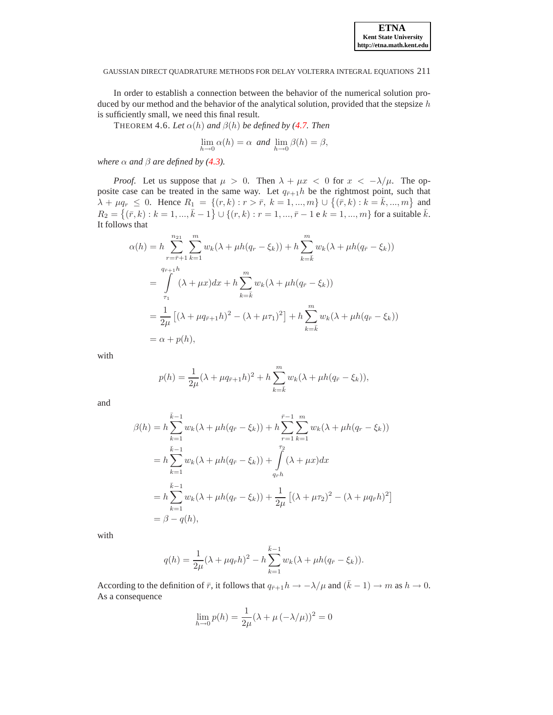<span id="page-10-0"></span>In order to establish a connection between the behavior of the numerical solution produced by our method and the behavior of the analytical solution, provided that the stepsize  $h$ is sufficiently small, we need this final result.

THEOREM 4.6. Let  $\alpha(h)$  and  $\beta(h)$  be defined by [\(4.7.](#page-6-3) Then

$$
\lim_{h \to 0} \alpha(h) = \alpha \text{ and } \lim_{h \to 0} \beta(h) = \beta,
$$

*where*  $\alpha$  *and*  $\beta$  *are defined by* [\(4.3\)](#page-5-6)*.* 

*Proof.* Let us suppose that  $\mu > 0$ . Then  $\lambda + \mu x < 0$  for  $x < -\lambda/\mu$ . The opposite case can be treated in the same way. Let  $q_{\bar{r}+1}h$  be the rightmost point, such that  $\lambda + \mu q_r \leq 0$ . Hence  $R_1 = \{(r, k) : r > \bar{r}, k = 1, ..., m\} \cup \{(\bar{r}, k) : k = \bar{k}, ..., m\}$  and  $R_2 = \{(\bar{r}, k) : k = 1, ..., \bar{k} - 1\} \cup \{(r, k) : r = 1, ..., \bar{r} - 1 \text{ e } \hat{k} = 1, ..., m\}$  for a suitable  $\bar{k}$ . It follows that

$$
\alpha(h) = h \sum_{r=\bar{r}+1}^{n_{21}} \sum_{k=1}^{m} w_k (\lambda + \mu h(q_r - \xi_k)) + h \sum_{k=\bar{k}}^{m} w_k (\lambda + \mu h(q_{\bar{r}} - \xi_k))
$$
  
= 
$$
\int_{\tau_1}^{q_{\bar{r}+1}h} (\lambda + \mu x) dx + h \sum_{k=\bar{k}}^{m} w_k (\lambda + \mu h(q_{\bar{r}} - \xi_k))
$$
  
= 
$$
\frac{1}{2\mu} [(\lambda + \mu q_{\bar{r}+1} h)^2 - (\lambda + \mu \tau_1)^2] + h \sum_{k=\bar{k}}^{m} w_k (\lambda + \mu h(q_{\bar{r}} - \xi_k))
$$
  
= 
$$
\alpha + p(h),
$$

with

$$
p(h) = \frac{1}{2\mu} (\lambda + \mu q_{\bar{r}+1} h)^2 + h \sum_{k=\bar{k}}^{m} w_k (\lambda + \mu h (q_{\bar{r}} - \xi_k)),
$$

and

$$
\beta(h) = h \sum_{k=1}^{\bar{k}-1} w_k (\lambda + \mu h(q_{\bar{r}} - \xi_k)) + h \sum_{r=1}^{\bar{r}-1} \sum_{k=1}^m w_k (\lambda + \mu h(q_r - \xi_k))
$$
  
\n
$$
= h \sum_{k=1}^{\bar{k}-1} w_k (\lambda + \mu h(q_{\bar{r}} - \xi_k)) + \int_{q_{\bar{r}}h}^{r_2} (\lambda + \mu x) dx
$$
  
\n
$$
= h \sum_{k=1}^{\bar{k}-1} w_k (\lambda + \mu h(q_{\bar{r}} - \xi_k)) + \frac{1}{2\mu} [(\lambda + \mu r_2)^2 - (\lambda + \mu q_{\bar{r}} h)^2]
$$
  
\n
$$
= \beta - q(h),
$$

with

$$
q(h) = \frac{1}{2\mu} (\lambda + \mu q_{\bar{r}} h)^2 - h \sum_{k=1}^{\bar{k}-1} w_k (\lambda + \mu h (q_{\bar{r}} - \xi_k)).
$$

According to the definition of  $\bar{r}$ , it follows that  $q_{\bar{r}+1}h \to -\lambda/\mu$  and  $(\bar{k} - 1) \to m$  as  $h \to 0$ . As a consequence

$$
\lim_{h \to 0} p(h) = \frac{1}{2\mu} (\lambda + \mu \, (-\lambda / \mu))^2 = 0
$$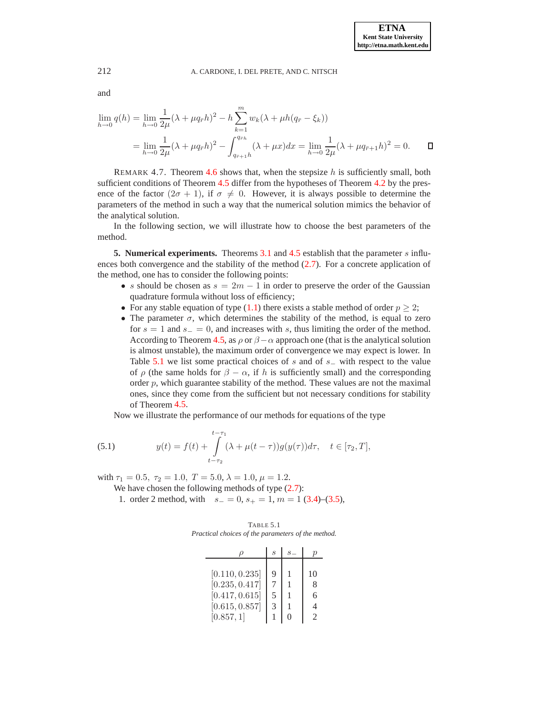$$
\lim_{h \to 0} q(h) = \lim_{h \to 0} \frac{1}{2\mu} (\lambda + \mu q_{\bar{r}} h)^2 - h \sum_{k=1}^m w_k (\lambda + \mu h (q_{\bar{r}} - \xi_k))
$$
  
= 
$$
\lim_{h \to 0} \frac{1}{2\mu} (\lambda + \mu q_{\bar{r}} h)^2 - \int_{q_{\bar{r}+1} h}^{q_{\bar{r}h}} (\lambda + \mu x) dx = \lim_{h \to 0} \frac{1}{2\mu} (\lambda + \mu q_{\bar{r}+1} h)^2 = 0.
$$

<span id="page-11-3"></span>REMARK 4.7. Theorem [4.6](#page-10-0) shows that, when the stepsize  $h$  is sufficiently small, both sufficient conditions of Theorem [4.5](#page-9-0) differ from the hypotheses of Theorem [4.2](#page-5-7) by the presence of the factor  $(2\sigma + 1)$ , if  $\sigma \neq 0$ . However, it is always possible to determine the parameters of the method in such a way that the numerical solution mimics the behavior of the analytical solution.

In the following section, we will illustrate how to choose the best parameters of the method.

<span id="page-11-0"></span>**5. Numerical experiments.** Theorems [3.1](#page-3-2) and [4.5](#page-9-0) establish that the parameter s influences both convergence and the stability of the method [\(2.7\)](#page-2-0). For a concrete application of the method, one has to consider the following points:

- s should be chosen as  $s = 2m 1$  in order to preserve the order of the Gaussian quadrature formula without loss of efficiency;
- For any stable equation of type [\(1.1\)](#page-0-0) there exists a stable method of order  $p \geq 2$ ;
- The parameter  $\sigma$ , which determines the stability of the method, is equal to zero for  $s = 1$  and  $s_ - = 0$ , and increases with s, thus limiting the order of the method. According to Theorem [4.5,](#page-9-0) as  $\rho$  or  $\beta - \alpha$  approach one (that is the analytical solution is almost unstable), the maximum order of convergence we may expect is lower. In Table [5.1](#page-11-1) we list some practical choices of s and of  $s_$  with respect to the value of  $\rho$  (the same holds for  $\beta - \alpha$ , if h is sufficiently small) and the corresponding order  $p$ , which guarantee stability of the method. These values are not the maximal ones, since they come from the sufficient but not necessary conditions for stability of Theorem [4.5.](#page-9-0)

Now we illustrate the performance of our methods for equations of the type

<span id="page-11-2"></span>(5.1) 
$$
y(t) = f(t) + \int_{t-\tau_2}^{t-\tau_1} (\lambda + \mu(t-\tau))g(y(\tau))d\tau, \quad t \in [\tau_2, T],
$$

with  $\tau_1 = 0.5$ ,  $\tau_2 = 1.0$ ,  $T = 5.0$ ,  $\lambda = 1.0$ ,  $\mu = 1.2$ .

We have chosen the following methods of type  $(2.7)$ :

<span id="page-11-1"></span>1. order 2 method, with  $s_-=0$ ,  $s_+=1$ ,  $m=1$  [\(3.4\)](#page-4-2)–[\(3.5\)](#page-4-2),

TABLE 5.1 *Practical choices of the parameters of the method.*

|                | S |               |
|----------------|---|---------------|
|                |   |               |
| [0.110, 0.235] | Q | 10            |
| [0.235, 0.417] |   | 8             |
| [0.417, 0.615] | 5 | 6             |
| [0.615, 0.857] | 3 | 4             |
| [0.857, 1]     |   | $\mathcal{D}$ |

and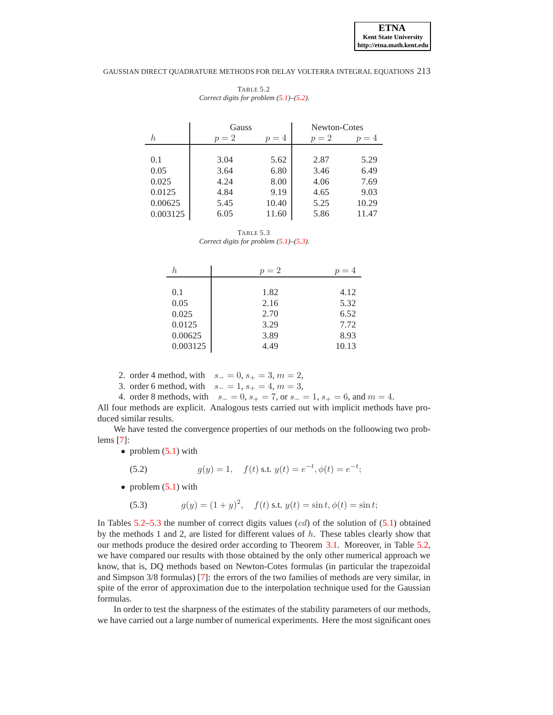<span id="page-12-2"></span>

|          | Gauss |       | Newton-Cotes |       |
|----------|-------|-------|--------------|-------|
| h        | $p=2$ | $p=4$ | $p=2$        | $p=4$ |
|          |       |       |              |       |
| 0.1      | 3.04  | 5.62  | 2.87         | 5.29  |
| 0.05     | 3.64  | 6.80  | 3.46         | 6.49  |
| 0.025    | 4.24  | 8.00  | 4.06         | 7.69  |
| 0.0125   | 4.84  | 9.19  | 4.65         | 9.03  |
| 0.00625  | 5.45  | 10.40 | 5.25         | 10.29 |
| 0.003125 | 6.05  | 11.60 | 5.86         | 11.47 |

TABLE 5.2 *Correct digits for problem [\(5.1\)](#page-11-2)–[\(5.2\)](#page-12-0).*

TABLE 5.3 *Correct digits for problem [\(5.1\)](#page-11-2)–[\(5.3\)](#page-12-1).*

<span id="page-12-3"></span>

| h.       | $p=2$ | $p=4$ |
|----------|-------|-------|
|          |       |       |
| 0.1      | 1.82  | 4.12  |
| 0.05     | 2.16  | 5.32  |
| 0.025    | 2.70  | 6.52  |
| 0.0125   | 3.29  | 7.72  |
| 0.00625  | 3.89  | 8.93  |
| 0.003125 | 4.49  | 10.13 |

2. order 4 method, with  $s_ = 0, s_ + = 3, m = 2,$ 

3. order 6 method, with  $s_ = 1, s_ + = 4, m = 3$ ,

4. order 8 methods, with  $s_ = 0$ ,  $s_ + = 7$ , or  $s_ = 1$ ,  $s_ + = 6$ , and  $m = 4$ .

All four methods are explicit. Analogous tests carried out with implicit methods have produced similar results.

We have tested the convergence properties of our methods on the folloowing two problems [\[7\]](#page-15-0):

• problem  $(5.1)$  with

<span id="page-12-0"></span>(5.2) 
$$
g(y) = 1, \quad f(t) \text{ s.t. } y(t) = e^{-t}, \phi(t) = e^{-t};
$$

• problem  $(5.1)$  with

<span id="page-12-1"></span>(5.3)  $g(y) = (1 + y)^2$ ,  $f(t)$  s.t.  $y(t) = \sin t$ ,  $\phi(t) = \sin t$ ;

In Tables [5.2–](#page-12-2)[5.3](#page-12-3) the number of correct digits values  $(cd)$  of the solution of  $(5.1)$  obtained by the methods 1 and 2, are listed for different values of  $h$ . These tables clearly show that our methods produce the desired order according to Theorem [3.1.](#page-3-2) Moreover, in Table [5.2,](#page-12-2) we have compared our results with those obtained by the only other numerical approach we know, that is, DQ methods based on Newton-Cotes formulas (in particular the trapezoidal and Simpson 3/8 formulas) [\[7\]](#page-15-0): the errors of the two families of methods are very similar, in spite of the error of approximation due to the interpolation technique used for the Gaussian formulas.

In order to test the sharpness of the estimates of the stability parameters of our methods, we have carried out a large number of numerical experiments. Here the most significant ones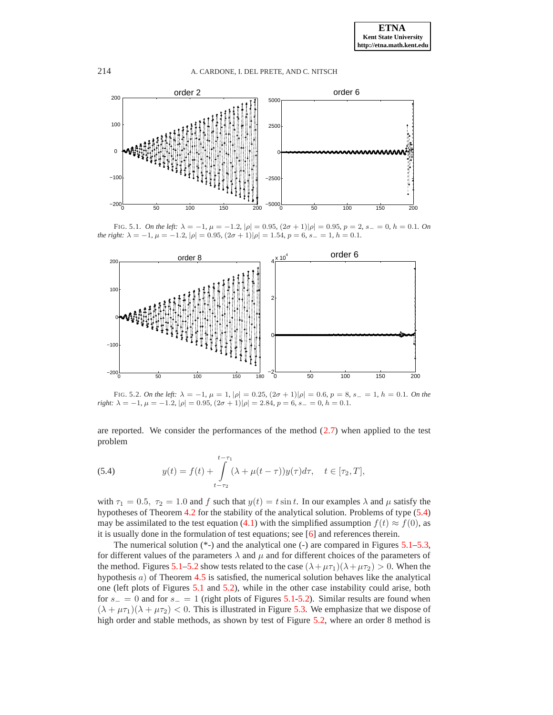

<span id="page-13-1"></span>FIG. 5.1. *On the left:*  $\lambda = -1$ ,  $\mu = -1.2$ ,  $|\rho| = 0.95$ ,  $(2\sigma + 1)|\rho| = 0.95$ ,  $p = 2$ ,  $s_ - = 0$ ,  $h = 0.1$ *. On the right:*  $\lambda = -1$ *,*  $\mu = -1.2$ *,*  $|\rho| = 0.95$ *,*  $(2\sigma + 1)|\rho| = 1.54$ *,*  $p = 6$ *,*  $s_ - = 1$ *,*  $h = 0.1$ *.* 



<span id="page-13-2"></span>FIG. 5.2. *On the left:*  $\lambda = -1$ ,  $\mu = 1$ ,  $|\rho| = 0.25$ ,  $(2\sigma + 1)|\rho| = 0.6$ ,  $p = 8$ ,  $s_ - = 1$ ,  $h = 0.1$ *. On the right:*  $\lambda = -1$ ,  $\mu = -1.2$ ,  $|\rho| = 0.95$ ,  $(2\sigma + 1)|\rho| = 2.84$ ,  $p = 6$ ,  $s_ = 0$ ,  $h = 0.1$ .

are reported. We consider the performances of the method  $(2.7)$  when applied to the test problem

<span id="page-13-0"></span>(5.4) 
$$
y(t) = f(t) + \int_{t-\tau_2}^{t-\tau_1} (\lambda + \mu(t-\tau))y(\tau)d\tau, \quad t \in [\tau_2, T],
$$

with  $\tau_1 = 0.5$ ,  $\tau_2 = 1.0$  and f such that  $y(t) = t \sin t$ . In our examples  $\lambda$  and  $\mu$  satisfy the hypotheses of Theorem [4.2](#page-5-7) for the stability of the analytical solution. Problems of type [\(5.4\)](#page-13-0) may be assimilated to the test equation [\(4.1\)](#page-5-1) with the simplified assumption  $f(t) \approx f(0)$ , as it is usually done in the formulation of test equations; see [\[6\]](#page-15-3) and references therein.

The numerical solution  $(*-)$  and the analytical one  $(-)$  are compared in Figures [5.1](#page-13-1)[–5.3,](#page-14-1) for different values of the parameters  $\lambda$  and  $\mu$  and for different choices of the parameters of the method. Figures [5.1](#page-13-1)[–5.2](#page-13-2) show tests related to the case  $(\lambda + \mu \tau_1)(\lambda + \mu \tau_2) > 0$ . When the hypothesis  $a$ ) of Theorem [4.5](#page-9-0) is satisfied, the numerical solution behaves like the analytical one (left plots of Figures [5.1](#page-13-1) and [5.2\)](#page-13-2), while in the other case instability could arise, both for  $s_$  = 0 and for  $s_$  = 1 (right plots of Figures [5.1](#page-13-1)[-5.2\)](#page-13-2). Similar results are found when  $(\lambda + \mu \tau_1)(\lambda + \mu \tau_2) < 0$ . This is illustrated in Figure [5.3.](#page-14-1) We emphasize that we dispose of high order and stable methods, as shown by test of Figure [5.2,](#page-13-2) where an order 8 method is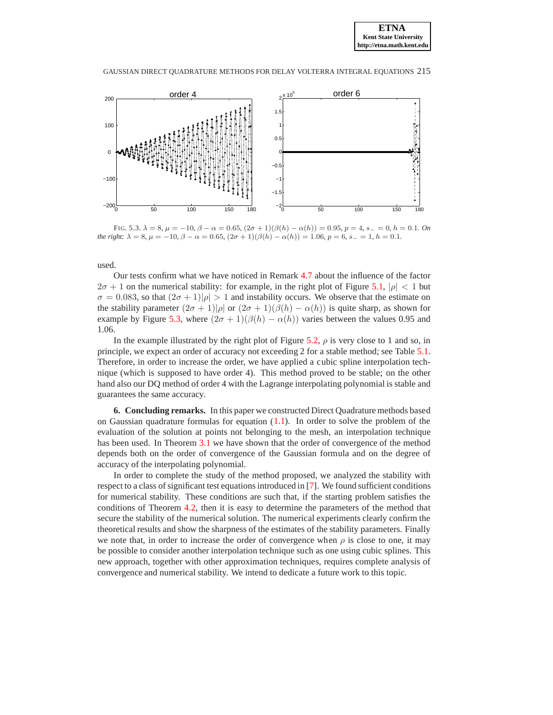

<span id="page-14-1"></span>FIG. 5.3.  $\lambda = 8$ ,  $\mu = -10$ ,  $\beta - \alpha = 0.65$ ,  $(2\sigma + 1)(\beta(h) - \alpha(h)) = 0.95$ ,  $p = 4$ ,  $s = 0$ ,  $h = 0.1$ *. On the right:*  $\lambda = 8$ ,  $\mu = -10$ ,  $\beta - \alpha = 0.65$ ,  $(2\sigma + 1)(\beta(h) - \alpha(h)) = 1.06$ ,  $p = 6$ ,  $s_0 = 1$ ,  $h = 0.1$ .

used.

Our tests confirm what we have noticed in Remark [4.7](#page-11-3) about the influence of the factor  $2\sigma + 1$  on the numerical stability: for example, in the right plot of Figure [5.1,](#page-13-1)  $|\rho| < 1$  but  $\sigma = 0.083$ , so that  $(2\sigma + 1)|\rho| > 1$  and instability occurs. We observe that the estimate on the stability parameter  $(2\sigma + 1)|\rho|$  or  $(2\sigma + 1)(\beta(h) - \alpha(h))$  is quite sharp, as shown for example by Figure [5.3,](#page-14-1) where  $(2\sigma + 1)(\beta(h) - \alpha(h))$  varies between the values 0.95 and 1.06.

In the example illustrated by the right plot of Figure [5.2,](#page-13-2)  $\rho$  is very close to 1 and so, in principle, we expect an order of accuracy not exceeding 2 for a stable method; see Table [5.1.](#page-11-1) Therefore, in order to increase the order, we have applied a cubic spline interpolation technique (which is supposed to have order 4). This method proved to be stable; on the other hand also our DQ method of order 4 with the Lagrange interpolating polynomial is stable and guarantees the same accuracy.

<span id="page-14-0"></span>**6. Concluding remarks.** In this paper we constructed Direct Quadrature methods based on Gaussian quadrature formulas for equation  $(1.1)$ . In order to solve the problem of the evaluation of the solution at points not belonging to the mesh, an interpolation technique has been used. In Theorem [3.1](#page-3-2) we have shown that the order of convergence of the method depends both on the order of convergence of the Gaussian formula and on the degree of accuracy of the interpolating polynomial.

In order to complete the study of the method proposed, we analyzed the stability with respect to a class of significant test equations introduced in [\[7\]](#page-15-0). We found sufficient conditions for numerical stability. These conditions are such that, if the starting problem satisfies the conditions of Theorem [4.2,](#page-5-7) then it is easy to determine the parameters of the method that secure the stability of the numerical solution. The numerical experiments clearly confirm the theoretical results and show the sharpness of the estimates of the stability parameters. Finally we note that, in order to increase the order of convergence when  $\rho$  is close to one, it may be possible to consider another interpolation technique such as one using cubic splines. This new approach, together with other approximation techniques, requires complete analysis of convergence and numerical stability. We intend to dedicate a future work to this topic.